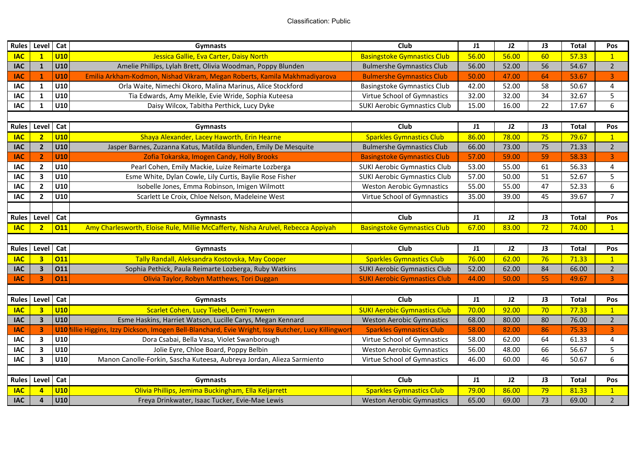| <b>Rules</b> | Level                   | Cat        | Gymnasts                                                                                        | Club                                | J1    | J2    | J3 | <b>Total</b> | Pos            |  |
|--------------|-------------------------|------------|-------------------------------------------------------------------------------------------------|-------------------------------------|-------|-------|----|--------------|----------------|--|
| <b>IAC</b>   | $\mathbf{1}$            | U10        | Jessica Gallie, Eva Carter, Daisy North                                                         | <b>Basingstoke Gymnastics Club</b>  | 56.00 | 56.00 | 60 | 57.33        | $\mathbf{1}$   |  |
| <b>IAC</b>   | $\mathbf{1}$            | U10        | Amelie Phillips, Lylah Brett, Olivia Woodman, Poppy Blunden                                     | <b>Bulmershe Gymnastics Club</b>    | 56.00 | 52.00 | 56 | 54.67        | $2^{\circ}$    |  |
| <b>IAC</b>   | $\mathbf{1}$            | <b>U10</b> | Emilia Arkham-Kodmon, Nishad Vikram, Megan Roberts, Kamila Makhmadiyarova                       | <b>Bulmershe Gymnastics Club</b>    | 50.00 | 47.00 | 64 | 53.67        | 3              |  |
| IAC          | $\mathbf{1}$            | U10        | Orla Waite, Nimechi Okoro, Malina Marinus, Alice Stockford                                      | Basingstoke Gymnastics Club         | 42.00 | 52.00 | 58 | 50.67        | 4              |  |
| <b>IAC</b>   | $\mathbf{1}$            | U10        | Tia Edwards, Amy Meikle, Evie Wride, Sophia Kuteesa                                             | Virtue School of Gymnastics         | 32.00 | 32.00 | 34 | 32.67        | 5              |  |
| <b>IAC</b>   | $\mathbf{1}$            | U10        | Daisy Wilcox, Tabitha Perthick, Lucy Dyke                                                       | <b>SUKI Aerobic Gymnastics Club</b> | 15.00 | 16.00 | 22 | 17.67        | 6              |  |
|              |                         |            |                                                                                                 |                                     |       |       |    |              |                |  |
| <b>Rules</b> | Level                   | Cat        | Gymnasts                                                                                        | Club                                | J1    | 12    | J3 | <b>Total</b> | Pos            |  |
| <b>IAC</b>   | $\overline{2}$          | U10        | Shaya Alexander, Lacey Haworth, Erin Hearne                                                     | <b>Sparkles Gymnastics Club</b>     | 86.00 | 78.00 | 75 | 79.67        | $\mathbf{1}$   |  |
| <b>IAC</b>   | $\mathbf{2}$            | U10        | Jasper Barnes, Zuzanna Katus, Matilda Blunden, Emily De Mesquite                                | <b>Bulmershe Gymnastics Club</b>    | 66.00 | 73.00 | 75 | 71.33        | $2^{\circ}$    |  |
| IAC          | $\overline{2}$          | U10        | Zofia Tokarska, Imogen Candy, Holly Brooks                                                      | <b>Basingstoke Gymnastics Club</b>  | 57.00 | 59.00 | 59 | 58.33        | 3              |  |
| <b>IAC</b>   | $2^{\circ}$             | U10        | Pearl Cohen, Emily Mackie, Luize Reimarte Lozberga                                              | <b>SUKI Aerobic Gymnastics Club</b> | 53.00 | 55.00 | 61 | 56.33        | 4              |  |
| <b>IAC</b>   | $\overline{\mathbf{3}}$ | U10        | Esme White, Dylan Cowle, Lily Curtis, Baylie Rose Fisher                                        | <b>SUKI Aerobic Gymnastics Club</b> | 57.00 | 50.00 | 51 | 52.67        | 5              |  |
| <b>IAC</b>   | $\overline{2}$          | U10        | Isobelle Jones, Emma Robinson, Imigen Wilmott                                                   | <b>Weston Aerobic Gymnastics</b>    | 55.00 | 55.00 | 47 | 52.33        | 6              |  |
| <b>IAC</b>   | $\overline{2}$          | U10        | Scarlett Le Croix, Chloe Nelson, Madeleine West                                                 | Virtue School of Gymnastics         | 35.00 | 39.00 | 45 | 39.67        | $\overline{7}$ |  |
|              |                         |            |                                                                                                 |                                     |       |       |    |              |                |  |
| <b>Rules</b> | Level Cat               |            | <b>Gymnasts</b>                                                                                 | Club                                | J1    | J2    | J3 | <b>Total</b> | Pos            |  |
| <b>IAC</b>   | $\overline{2}$          | <b>O11</b> | Amy Charlesworth, Eloise Rule, Millie McCafferty, Nisha Arulvel, Rebecca Appiyah                | <b>Basingstoke Gymnastics Club</b>  | 67.00 | 83.00 | 72 | 74.00        | $\mathbf{1}$   |  |
|              |                         |            |                                                                                                 |                                     |       |       |    |              |                |  |
| <b>Rules</b> | Level                   | Cat        | Gymnasts                                                                                        | Club                                | J1    | J2    | J3 | <b>Total</b> | Pos            |  |
| <b>IAC</b>   | $\overline{3}$          | 011        | Tally Randall, Aleksandra Kostovska, May Cooper                                                 | <b>Sparkles Gymnastics Club</b>     | 76.00 | 62.00 | 76 | 71.33        | $\mathbf{1}$   |  |
| <b>IAC</b>   | $\overline{\mathbf{3}}$ | 011        | Sophia Pethick, Paula Reimarte Lozberga, Ruby Watkins                                           | <b>SUKI Aerobic Gymnastics Club</b> | 52.00 | 62.00 | 84 | 66.00        | $2^{\circ}$    |  |
| <b>IAC</b>   | $\overline{\mathbf{3}}$ | 011        | Olivia Taylor, Robyn Matthews, Tori Duggan                                                      | <b>SUKI Aerobic Gymnastics Club</b> | 44.00 | 50.00 | 55 | 49.67        | $\overline{3}$ |  |
|              |                         |            |                                                                                                 |                                     |       |       |    |              |                |  |
| <b>Rules</b> | Level                   | Cat        | Gymnasts                                                                                        | Club                                | J1    | J2    | J3 | <b>Total</b> | Pos            |  |
| <b>IAC</b>   | 3 <sup>1</sup>          | U10        | Scarlet Cohen, Lucy Tiebel, Demi Trowern                                                        | <b>SUKI Aerobic Gymnastics Club</b> | 70.00 | 92.00 | 70 | 77.33        | $\mathbf{1}$   |  |
| <b>IAC</b>   | 3 <sup>1</sup>          | U10        | Esme Haskins, Harriet Watson, Lucille Carys, Megan Kennard                                      | <b>Weston Aerobic Gymnastics</b>    | 68.00 | 80.00 | 80 | 76.00        | $\overline{2}$ |  |
| <b>IAC</b>   | $\overline{\mathbf{3}}$ | U10        | lillie Higgins, Izzy Dickson, Imogen Bell-Blanchard, Evie Wright, Issy Butcher, Lucy Killingwor | <b>Sparkles Gymnastics Club</b>     | 58.00 | 82.00 | 86 | 75.33        | 3              |  |
| <b>IAC</b>   | $\overline{\mathbf{3}}$ | U10        | Dora Csabai, Bella Vasa, Violet Swanborough                                                     | Virtue School of Gymnastics         | 58.00 | 62.00 | 64 | 61.33        | 4              |  |
| <b>IAC</b>   | $\overline{\mathbf{3}}$ | U10        | Jolie Eyre, Chloe Board, Poppy Belbin                                                           | <b>Weston Aerobic Gymnastics</b>    | 56.00 | 48.00 | 66 | 56.67        | 5              |  |
| <b>IAC</b>   | $\overline{\mathbf{3}}$ | U10        | Manon Canolle-Forkin, Sascha Kuteesa, Aubreya Jordan, Alieza Sarmiento                          | Virtue School of Gymnastics         | 46.00 | 60.00 | 46 | 50.67        | 6              |  |
|              |                         |            |                                                                                                 |                                     |       |       |    |              |                |  |
| <b>Rules</b> | Level                   | Cat        | <b>Gymnasts</b>                                                                                 | Club                                | J1    | 12    | J3 | <b>Total</b> | Pos            |  |
| <b>IAC</b>   | 4                       | U10        | Olivia Phillips, Jemima Buckingham, Ella Keljarrett                                             | <b>Sparkles Gymnastics Club</b>     | 79.00 | 86.00 | 79 | 81.33        | $\overline{1}$ |  |
| <b>IAC</b>   | $\overline{\mathbf{4}}$ | U10        | Freya Drinkwater, Isaac Tucker, Evie-Mae Lewis                                                  | <b>Weston Aerobic Gymnastics</b>    | 65.00 | 69.00 | 73 | 69.00        | $2^{\circ}$    |  |